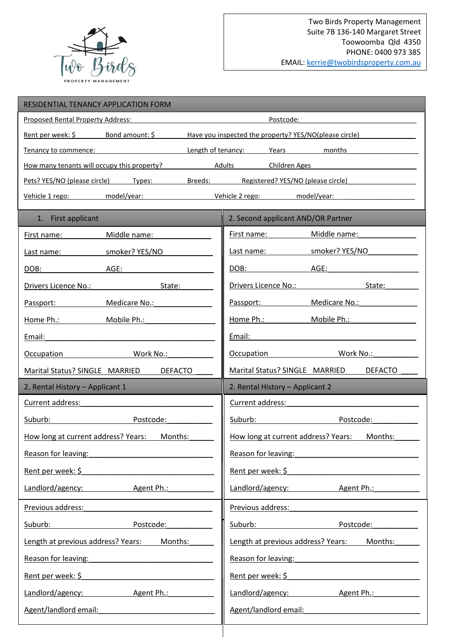

| RESIDENTIAL TENANCY APPLICATION FORM                                                                            |                                                                                                                                                                                                                                                               |
|-----------------------------------------------------------------------------------------------------------------|---------------------------------------------------------------------------------------------------------------------------------------------------------------------------------------------------------------------------------------------------------------|
| Proposed Rental Property Address:                                                                               | Postcode:                                                                                                                                                                                                                                                     |
| Bond amount: \$<br>Rent per week: \$                                                                            | Have you inspected the property? YES/NO(please circle)                                                                                                                                                                                                        |
| Tenancy to commence:                                                                                            | Length of tenancy:<br>Years<br>months                                                                                                                                                                                                                         |
| How many tenants will occupy this property?                                                                     | Adults<br>Children Ages                                                                                                                                                                                                                                       |
| Pets? YES/NO (please circle) Types:                                                                             | Breeds: Registered? YES/NO (please circle)                                                                                                                                                                                                                    |
| Vehicle 1 rego: model/year:                                                                                     | Vehicle 2 rego:<br>model/year:                                                                                                                                                                                                                                |
| 1. First applicant                                                                                              | 2. Second applicant AND/OR Partner                                                                                                                                                                                                                            |
| Middle name:<br>First name:                                                                                     | Middle name:<br>First name:                                                                                                                                                                                                                                   |
| smoker? YES/NO<br>Last name:                                                                                    | smoker? YES/NO<br>Last name:                                                                                                                                                                                                                                  |
| AGE:<br>DOB:                                                                                                    | DOB:<br>AGE:                                                                                                                                                                                                                                                  |
| Drivers Licence No.:<br>State:                                                                                  | Drivers Licence No.:<br>State:                                                                                                                                                                                                                                |
| Medicare No.:<br>Passport:                                                                                      | Medicare No.:<br>Passport:                                                                                                                                                                                                                                    |
| Home Ph.: North States<br>Mobile Ph.:                                                                           | Mobile Ph.:                                                                                                                                                                                                                                                   |
| Email:                                                                                                          | Email:                                                                                                                                                                                                                                                        |
| Work No.:<br>Occupation                                                                                         | Work No.:<br>Occupation                                                                                                                                                                                                                                       |
| Marital Status? SINGLE MARRIED<br><b>DEFACTO</b>                                                                | Marital Status? SINGLE MARRIED<br><b>DEFACTO</b>                                                                                                                                                                                                              |
|                                                                                                                 |                                                                                                                                                                                                                                                               |
| 2. Rental History - Applicant 1                                                                                 | 2. Rental History - Applicant 2                                                                                                                                                                                                                               |
| Current address:                                                                                                | Current address:                                                                                                                                                                                                                                              |
| Suburb:<br>Postcode:                                                                                            | Suburb:<br>Postcode:                                                                                                                                                                                                                                          |
| How long at current address? Years: Months:                                                                     | How long at current address? Years: Months:                                                                                                                                                                                                                   |
| Reason for leaving:                                                                                             | Reason for leaving: Note and the set of the set of the set of the set of the set of the set of the set of the                                                                                                                                                 |
| Rent per week: \$                                                                                               | Rent per week: $\frac{1}{2}$                                                                                                                                                                                                                                  |
| Landlord/agency: Agent Ph.:                                                                                     | Landlord/agency: Agent Ph.:                                                                                                                                                                                                                                   |
| Previous address:                                                                                               | Previous address:                                                                                                                                                                                                                                             |
| Postcode: and the postcode:                                                                                     | Suburb: the contract of the contract of the contract of the contract of the contract of the contract of the contract of the contract of the contract of the contract of the contract of the contract of the contract of the co<br>Postcode: and the postcode: |
| Length at previous address? Years: Months:                                                                      | Months:<br>Length at previous address? Years:                                                                                                                                                                                                                 |
| Reason for leaving: Note that the state of the state of the state of the state of the state of the state of the | Reason for leaving: Note that the state of the state of the state of the state of the state of the state of the                                                                                                                                               |
| Rent per week: \$                                                                                               | Rent per week: \$                                                                                                                                                                                                                                             |
| Landlord/agency: Agent Ph.:                                                                                     | Landlord/agency: Agent Ph.:                                                                                                                                                                                                                                   |
| Agent/landlord email:                                                                                           | Agent/landlord email: National Agent/landlord email:                                                                                                                                                                                                          |